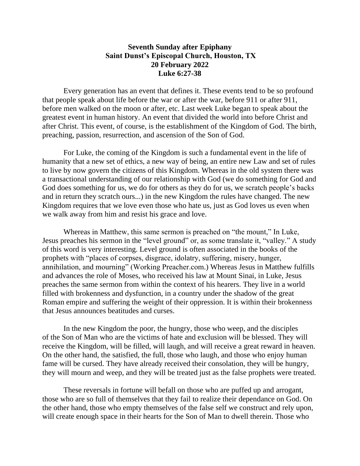## **Seventh Sunday after Epiphany Saint Dunst's Episcopal Church, Houston, TX 20 February 2022 Luke 6:27-38**

Every generation has an event that defines it. These events tend to be so profound that people speak about life before the war or after the war, before 911 or after 911, before men walked on the moon or after, etc. Last week Luke began to speak about the greatest event in human history. An event that divided the world into before Christ and after Christ. This event, of course, is the establishment of the Kingdom of God. The birth, preaching, passion, resurrection, and ascension of the Son of God.

For Luke, the coming of the Kingdom is such a fundamental event in the life of humanity that a new set of ethics, a new way of being, an entire new Law and set of rules to live by now govern the citizens of this Kingdom. Whereas in the old system there was a transactional understanding of our relationship with God (we do something for God and God does something for us, we do for others as they do for us, we scratch people's backs and in return they scratch ours...) in the new Kingdom the rules have changed. The new Kingdom requires that we love even those who hate us, just as God loves us even when we walk away from him and resist his grace and love.

Whereas in Matthew, this same sermon is preached on "the mount," In Luke, Jesus preaches his sermon in the "level ground" or, as some translate it, "valley." A study of this word is very interesting. Level ground is often associated in the books of the prophets with "places of corpses, disgrace, idolatry, suffering, misery, hunger, annihilation, and mourning" (Working Preacher.com.) Whereas Jesus in Matthew fulfills and advances the role of Moses, who received his law at Mount Sinai, in Luke, Jesus preaches the same sermon from within the context of his hearers. They live in a world filled with brokenness and dysfunction, in a country under the shadow of the great Roman empire and suffering the weight of their oppression. It is within their brokenness that Jesus announces beatitudes and curses.

In the new Kingdom the poor, the hungry, those who weep, and the disciples of the Son of Man who are the victims of hate and exclusion will be blessed. They will receive the Kingdom, will be filled, will laugh, and will receive a great reward in heaven. On the other hand, the satisfied, the full, those who laugh, and those who enjoy human fame will be cursed. They have already received their consolation, they will be hungry, they will mourn and weep, and they will be treated just as the false prophets were treated.

These reversals in fortune will befall on those who are puffed up and arrogant, those who are so full of themselves that they fail to realize their dependance on God. On the other hand, those who empty themselves of the false self we construct and rely upon, will create enough space in their hearts for the Son of Man to dwell therein. Those who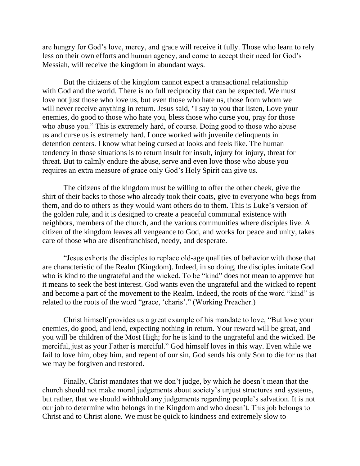are hungry for God's love, mercy, and grace will receive it fully. Those who learn to rely less on their own efforts and human agency, and come to accept their need for God's Messiah, will receive the kingdom in abundant ways.

But the citizens of the kingdom cannot expect a transactional relationship with God and the world. There is no full reciprocity that can be expected. We must love not just those who love us, but even those who hate us, those from whom we will never receive anything in return. Jesus said, "I say to you that listen, Love your enemies, do good to those who hate you, bless those who curse you, pray for those who abuse you." This is extremely hard, of course. Doing good to those who abuse us and curse us is extremely hard. I once worked with juvenile delinquents in detention centers. I know what being cursed at looks and feels like. The human tendency in those situations is to return insult for insult, injury for injury, threat for threat. But to calmly endure the abuse, serve and even love those who abuse you requires an extra measure of grace only God's Holy Spirit can give us.

The citizens of the kingdom must be willing to offer the other cheek, give the shirt of their backs to those who already took their coats, give to everyone who begs from them, and do to others as they would want others do to them. This is Luke's version of the golden rule, and it is designed to create a peaceful communal existence with neighbors, members of the church, and the various communities where disciples live. A citizen of the kingdom leaves all vengeance to God, and works for peace and unity, takes care of those who are disenfranchised, needy, and desperate.

"Jesus exhorts the disciples to replace old-age qualities of behavior with those that are characteristic of the Realm (Kingdom). Indeed, in so doing, the disciples imitate God who is kind to the ungrateful and the wicked. To be "kind" does not mean to approve but it means to seek the best interest. God wants even the ungrateful and the wicked to repent and become a part of the movement to the Realm. Indeed, the roots of the word "kind" is related to the roots of the word "grace, 'charis'." (Working Preacher.)

Christ himself provides us a great example of his mandate to love, "But love your enemies, do good, and lend, expecting nothing in return. Your reward will be great, and you will be children of the Most High; for he is kind to the ungrateful and the wicked. Be merciful, just as your Father is merciful." God himself loves in this way. Even while we fail to love him, obey him, and repent of our sin, God sends his only Son to die for us that we may be forgiven and restored.

Finally, Christ mandates that we don't judge, by which he doesn't mean that the church should not make moral judgements about society's unjust structures and systems, but rather, that we should withhold any judgements regarding people's salvation. It is not our job to determine who belongs in the Kingdom and who doesn't. This job belongs to Christ and to Christ alone. We must be quick to kindness and extremely slow to